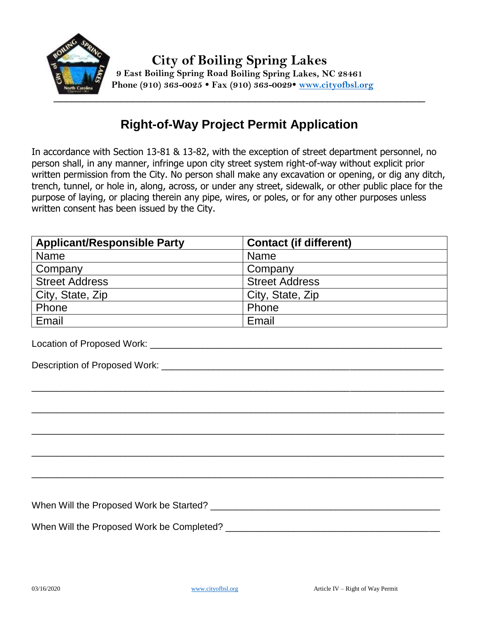

## **Right-of-Way Project Permit Application**

In accordance with Section 13-81 & 13-82, with the exception of street department personnel, no person shall, in any manner, infringe upon city street system right-of-way without explicit prior written permission from the City. No person shall make any excavation or opening, or dig any ditch, trench, tunnel, or hole in, along, across, or under any street, sidewalk, or other public place for the purpose of laying, or placing therein any pipe, wires, or poles, or for any other purposes unless written consent has been issued by the City.

| <b>Applicant/Responsible Party</b> | <b>Contact (if different)</b> |
|------------------------------------|-------------------------------|
| <b>Name</b>                        | <b>Name</b>                   |
| Company                            | Company                       |
| <b>Street Address</b>              | <b>Street Address</b>         |
| City, State, Zip                   | City, State, Zip              |
| Phone                              | Phone                         |
| Email                              | Email                         |

| $\Box$                                    | $\blacksquare$ |
|-------------------------------------------|----------------|
|                                           |                |
|                                           |                |
|                                           |                |
|                                           |                |
|                                           |                |
|                                           |                |
|                                           |                |
|                                           |                |
|                                           |                |
| When Will the Proposed Work be Completed? |                |